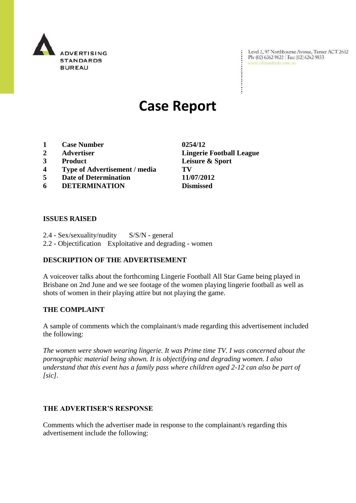

Level 2, 97 Northbourne Avenue, Turner ACT 2612<br>Ph: (02) 6262 9822 | Fax: (02) 6262 9833<br>www.adstandards.com.au

# **Case Report**

- **1 Case Number 0254/12**
- 
- 
- **4 Type of Advertisement / media TV**
- **5 Date of Determination 11/07/2012**
- **6 DETERMINATION Dismissed**

**ISSUES RAISED**

2.4 - Sex/sexuality/nudity S/S/N - general 2.2 - Objectification Exploitative and degrading - women

## **DESCRIPTION OF THE ADVERTISEMENT**

A voiceover talks about the forthcoming Lingerie Football All Star Game being played in Brisbane on 2nd June and we see footage of the women playing lingerie football as well as shots of women in their playing attire but not playing the game.

## **THE COMPLAINT**

A sample of comments which the complainant/s made regarding this advertisement included the following:

*The women were shown wearing lingerie. It was Prime time TV. I was concerned about the pornographic material being shown. It is objectifying and degrading women. I also understand that this event has a family pass where children aged 2-12 can also be part of [sic].*

### **THE ADVERTISER'S RESPONSE**

Comments which the advertiser made in response to the complainant/s regarding this advertisement include the following:

**2 Advertiser Lingerie Football League 3 Product Leisure & Sport**

÷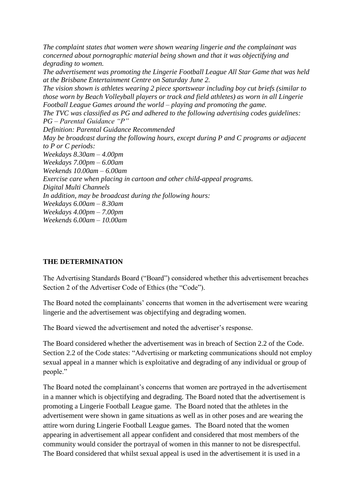*The complaint states that women were shown wearing lingerie and the complainant was concerned about pornographic material being shown and that it was objectifying and degrading to women.*

*The advertisement was promoting the Lingerie Football League All Star Game that was held at the Brisbane Entertainment Centre on Saturday June 2.*

*The vision shown is athletes wearing 2 piece sportswear including boy cut briefs (similar to those worn by Beach Volleyball players or track and field athletes) as worn in all Lingerie Football League Games around the world – playing and promoting the game.*

*The TVC was classified as PG and adhered to the following advertising codes guidelines: PG – Parental Guidance "P"*

*Definition: Parental Guidance Recommended*

*May be broadcast during the following hours, except during P and C programs or adjacent to P or C periods: Weekdays 8.30am – 4.00pm Weekdays 7.00pm – 6.00am Weekends 10.00am – 6.00am Exercise care when placing in cartoon and other child-appeal programs. Digital Multi Channels In addition, may be broadcast during the following hours: Weekdays 6.00am – 8.30am*

*Weekdays 4.00pm – 7.00pm*

*Weekends 6.00am – 10.00am*

## **THE DETERMINATION**

The Advertising Standards Board ("Board") considered whether this advertisement breaches Section 2 of the Advertiser Code of Ethics (the "Code").

The Board noted the complainants' concerns that women in the advertisement were wearing lingerie and the advertisement was objectifying and degrading women.

The Board viewed the advertisement and noted the advertiser's response.

The Board considered whether the advertisement was in breach of Section 2.2 of the Code. Section 2.2 of the Code states: "Advertising or marketing communications should not employ sexual appeal in a manner which is exploitative and degrading of any individual or group of people."

The Board noted the complainant's concerns that women are portrayed in the advertisement in a manner which is objectifying and degrading. The Board noted that the advertisement is promoting a Lingerie Football League game. The Board noted that the athletes in the advertisement were shown in game situations as well as in other poses and are wearing the attire worn during Lingerie Football League games. The Board noted that the women appearing in advertisement all appear confident and considered that most members of the community would consider the portrayal of women in this manner to not be disrespectful. The Board considered that whilst sexual appeal is used in the advertisement it is used in a